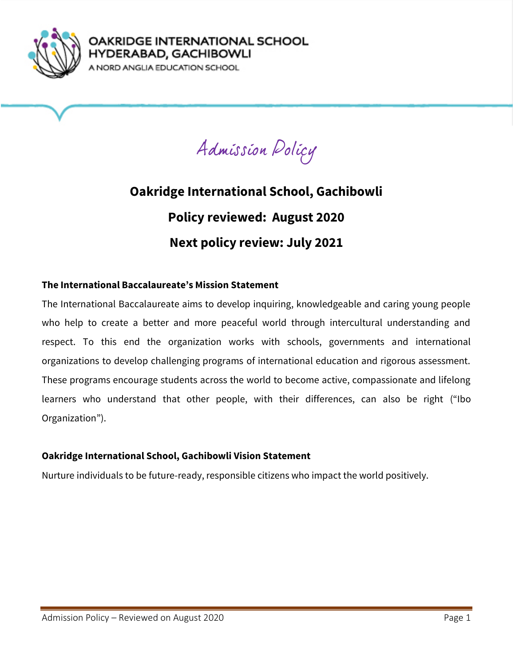

**DGE INTERNATIONAL SCHOOL BAD, GACHIBOWLI** 

ORD ANGLIA EDUCATION SCHOOL

Admission Policy

# **Oakridge International School, Gachibowli Policy reviewed: August 2020 Next policy review: July 2021**

#### **The International Baccalaureate's Mission Statement**

The International Baccalaureate aims to develop inquiring, knowledgeable and caring young people who help to create a better and more peaceful world through intercultural understanding and respect. To this end the organization works with schools, governments and international organizations to develop challenging programs of international education and rigorous assessment. These programs encourage students across the world to become active, compassionate and lifelong learners who understand that other people, with their differences, can also be right ("Ibo Organization").

#### **Oakridge International School, Gachibowli Vision Statement**

Nurture individuals to be future-ready, responsible citizens who impact the world positively.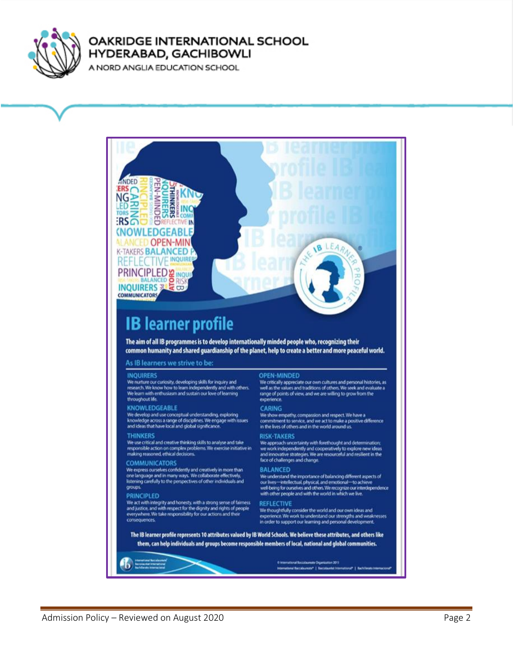

A NORD ANGLIA EDUCATION SCHOOL

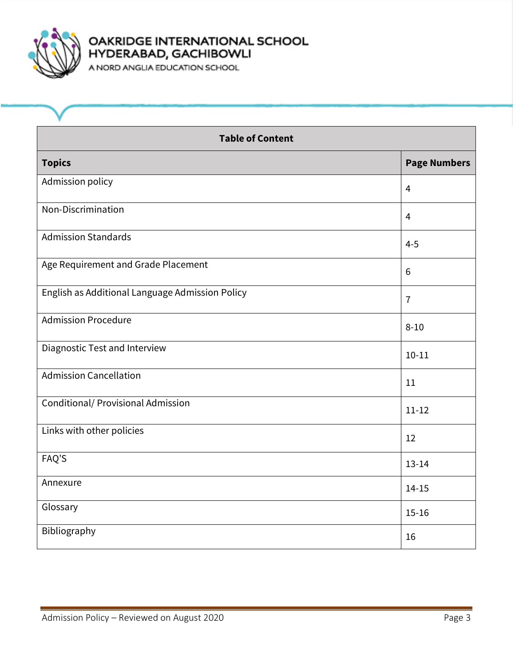

# **OAKRIDGE INTERNATIONAL SCHOOL**<br>HYDERABAD, GACHIBOWLI<br>A NORD ANGLIA EDUCATION SCHOOL

| <b>Table of Content</b>                         |                     |  |
|-------------------------------------------------|---------------------|--|
| <b>Topics</b>                                   | <b>Page Numbers</b> |  |
| Admission policy                                | 4                   |  |
| Non-Discrimination                              | $\overline{4}$      |  |
| <b>Admission Standards</b>                      | $4 - 5$             |  |
| Age Requirement and Grade Placement             | 6                   |  |
| English as Additional Language Admission Policy | $\overline{1}$      |  |
| <b>Admission Procedure</b>                      | $8 - 10$            |  |
| Diagnostic Test and Interview                   | $10 - 11$           |  |
| <b>Admission Cancellation</b>                   | 11                  |  |
| Conditional/ Provisional Admission              | $11 - 12$           |  |
| Links with other policies                       | 12                  |  |
| FAQ'S                                           | $13 - 14$           |  |
| Annexure                                        | $14 - 15$           |  |
| Glossary                                        | $15 - 16$           |  |
| Bibliography                                    | 16                  |  |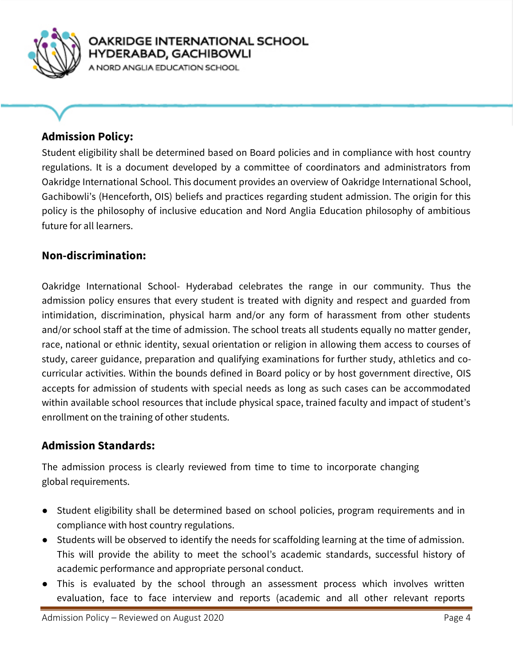

NORD ANGLIA EDUCATION SCHOOL

# **Admission Policy:**

Student eligibility shall be determined based on Board policies and in compliance with host country regulations. It is a document developed by a committee of coordinators and administrators from Oakridge International School. This document provides an overview of Oakridge International School, Gachibowli's (Henceforth, OIS) beliefs and practices regarding student admission. The origin for this policy is the philosophy of inclusive education and Nord Anglia Education philosophy of ambitious future for all learners.

# **Non-discrimination:**

Oakridge International School- Hyderabad celebrates the range in our community. Thus the admission policy ensures that every student is treated with dignity and respect and guarded from intimidation, discrimination, physical harm and/or any form of harassment from other students and/or school staff at the time of admission. The school treats all students equally no matter gender, race, national or ethnic identity, sexual orientation or religion in allowing them access to courses of study, career guidance, preparation and qualifying examinations for further study, athletics and cocurricular activities. Within the bounds defined in Board policy or by host government directive, OIS accepts for admission of students with special needs as long as such cases can be accommodated within available school resources that include physical space, trained faculty and impact of student's enrollment on the training of other students.

# **Admission Standards:**

The admission process is clearly reviewed from time to time to incorporate changing global requirements.

- Student eligibility shall be determined based on school policies, program requirements and in compliance with host country regulations.
- Students will be observed to identify the needs for scaffolding learning at the time of admission. This will provide the ability to meet the school's academic standards, successful history of academic performance and appropriate personal conduct.
- This is evaluated by the school through an assessment process which involves written evaluation, face to face interview and reports (academic and all other relevant reports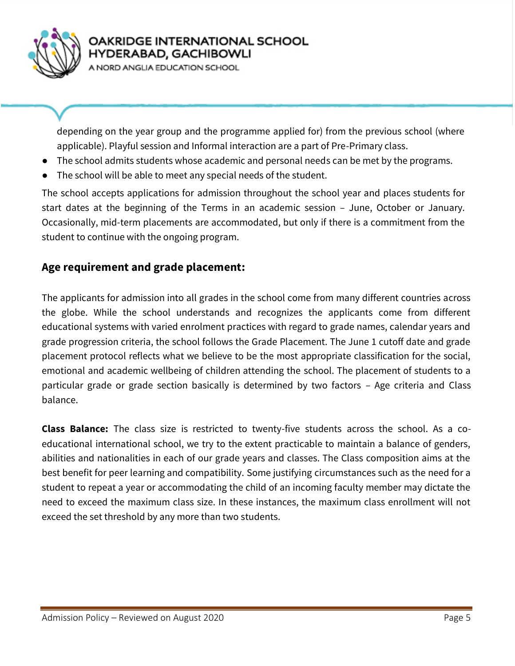

NORD ANGLIA EDUCATION SCHOOL

depending on the year group and the programme applied for) from the previous school (where applicable). Playful session and Informal interaction are a part of Pre-Primary class.

- The school admits students whose academic and personal needs can be met by the programs.
- The school will be able to meet any special needs of the student.

The school accepts applications for admission throughout the school year and places students for start dates at the beginning of the Terms in an academic session – June, October or January. Occasionally, mid-term placements are accommodated, but only if there is a commitment from the student to continue with the ongoing program.

# **Age requirement and grade placement:**

The applicants for admission into all grades in the school come from many different countries across the globe. While the school understands and recognizes the applicants come from different educational systems with varied enrolment practices with regard to grade names, calendar years and grade progression criteria, the school follows the Grade Placement. The June 1 cutoff date and grade placement protocol reflects what we believe to be the most appropriate classification for the social, emotional and academic wellbeing of children attending the school. The placement of students to a particular grade or grade section basically is determined by two factors – Age criteria and Class balance.

**Class Balance:** The class size is restricted to twenty-five students across the school. As a coeducational international school, we try to the extent practicable to maintain a balance of genders, abilities and nationalities in each of our grade years and classes. The Class composition aims at the best benefit for peer learning and compatibility. Some justifying circumstances such as the need for a student to repeat a year or accommodating the child of an incoming faculty member may dictate the need to exceed the maximum class size. In these instances, the maximum class enrollment will not exceed the set threshold by any more than two students.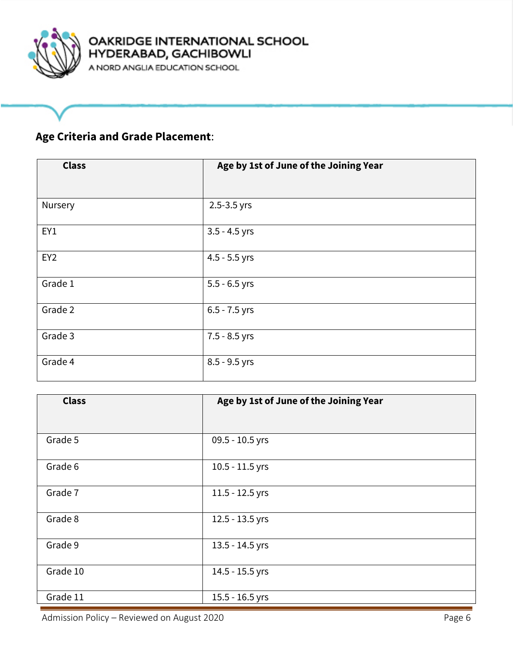

A NORD ANGLIA EDUCATION SCHOOL

# **Age Criteria and Grade Placement**:

| <b>Class</b>    | Age by 1st of June of the Joining Year |
|-----------------|----------------------------------------|
|                 |                                        |
| Nursery         | 2.5-3.5 yrs                            |
| EY1             | $3.5 - 4.5$ yrs                        |
| EY <sub>2</sub> | $4.5 - 5.5$ yrs                        |
| Grade 1         | $5.5 - 6.5$ yrs                        |
| Grade 2         | $6.5 - 7.5$ yrs                        |
| Grade 3         | 7.5 - 8.5 yrs                          |
| Grade 4         | 8.5 - 9.5 yrs                          |

| <b>Class</b> | Age by 1st of June of the Joining Year |
|--------------|----------------------------------------|
|              |                                        |
| Grade 5      | 09.5 - 10.5 yrs                        |
| Grade 6      | $10.5 - 11.5$ yrs                      |
| Grade 7      | $11.5 - 12.5$ yrs                      |
| Grade 8      | 12.5 - 13.5 yrs                        |
| Grade 9      | 13.5 - 14.5 yrs                        |
| Grade 10     | 14.5 - 15.5 yrs                        |
| Grade 11     | 15.5 - 16.5 yrs                        |

Admission Policy – Reviewed on August 2020 **Page 6** Page 6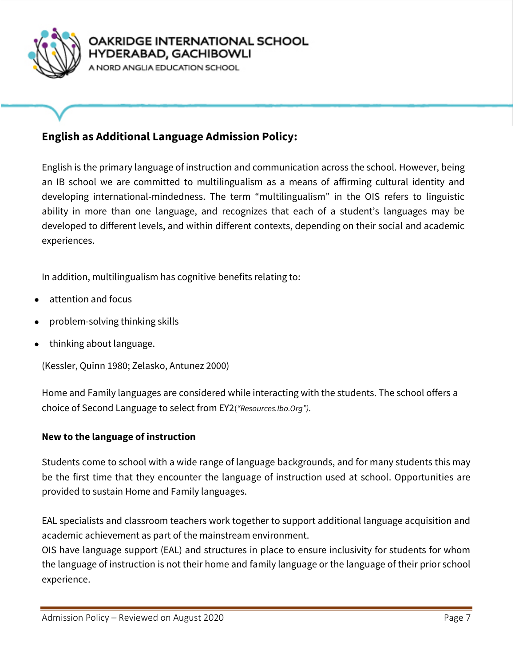

NORD ANGLIA EDUCATION SCHOOL

# **English as Additional Language Admission Policy:**

English is the primary language of instruction and communication across the school. However, being an IB school we are committed to multilingualism as a means of affirming cultural identity and developing international-mindedness. The term "multilingualism" in the OIS refers to linguistic ability in more than one language, and recognizes that each of a student's languages may be developed to different levels, and within different contexts, depending on their social and academic experiences.

In addition, multilingualism has cognitive benefits relating to:

- attention and focus
- problem-solving thinking skills
- thinking about language.

(Kessler, Quinn 1980; Zelasko, Antunez 2000)

Home and Family languages are considered while interacting with the students. The school offers a choice of Second Language to select from EY2(*"Resources.Ibo.Org")*.

#### **New to the language of instruction**

Students come to school with a wide range of language backgrounds, and for many students this may be the first time that they encounter the language of instruction used at school. Opportunities are provided to sustain Home and Family languages.

EAL specialists and classroom teachers work together to support additional language acquisition and academic achievement as part of the mainstream environment.

OIS have language support (EAL) and structures in place to ensure inclusivity for students for whom the language of instruction is not their home and family language or the language of their prior school experience.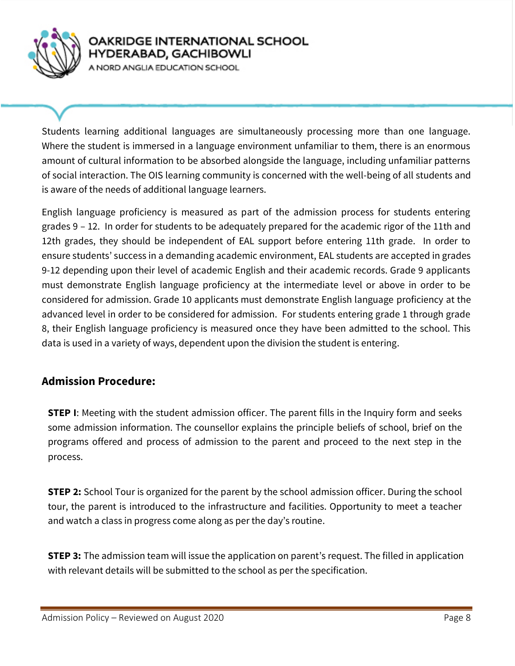

NORD ANGLIA EDUCATION SCHOOL

Students learning additional languages are simultaneously processing more than one language. Where the student is immersed in a language environment unfamiliar to them, there is an enormous amount of cultural information to be absorbed alongside the language, including unfamiliar patterns of social interaction. The OIS learning community is concerned with the well-being of all students and is aware of the needs of additional language learners.

English language proficiency is measured as part of the admission process for students entering grades 9 – 12. In order for students to be adequately prepared for the academic rigor of the 11th and 12th grades, they should be independent of EAL support before entering 11th grade. In order to ensure students' success in a demanding academic environment, EAL students are accepted in grades 9-12 depending upon their level of academic English and their academic records. Grade 9 applicants must demonstrate English language proficiency at the intermediate level or above in order to be considered for admission. Grade 10 applicants must demonstrate English language proficiency at the advanced level in order to be considered for admission. For students entering grade 1 through grade 8, their English language proficiency is measured once they have been admitted to the school. This data is used in a variety of ways, dependent upon the division the student is entering.

# **Admission Procedure:**

**STEP I:** Meeting with the student admission officer. The parent fills in the Inquiry form and seeks some admission information. The counsellor explains the principle beliefs of school, brief on the programs offered and process of admission to the parent and proceed to the next step in the process.

**STEP 2:** School Tour is organized for the parent by the school admission officer. During the school tour, the parent is introduced to the infrastructure and facilities. Opportunity to meet a teacher and watch a class in progress come along as per the day's routine.

**STEP 3:** The admission team will issue the application on parent's request. The filled in application with relevant details will be submitted to the school as per the specification.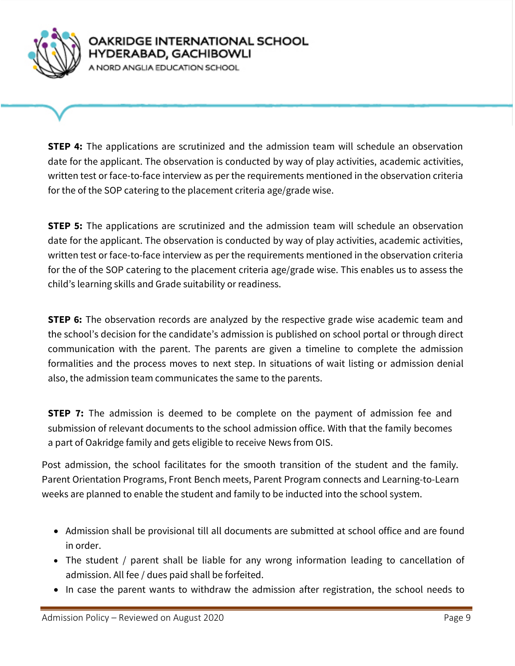

NORD ANGLIA EDUCATION SCHOOL

**STEP 4:** The applications are scrutinized and the admission team will schedule an observation date for the applicant. The observation is conducted by way of play activities, academic activities, written test or face-to-face interview as per the requirements mentioned in the observation criteria for the of the SOP catering to the placement criteria age/grade wise.

**STEP 5:** The applications are scrutinized and the admission team will schedule an observation date for the applicant. The observation is conducted by way of play activities, academic activities, written test or face-to-face interview as per the requirements mentioned in the observation criteria for the of the SOP catering to the placement criteria age/grade wise. This enables us to assess the child's learning skills and Grade suitability or readiness.

**STEP 6:** The observation records are analyzed by the respective grade wise academic team and the school's decision for the candidate's admission is published on school portal or through direct communication with the parent. The parents are given a timeline to complete the admission formalities and the process moves to next step. In situations of wait listing or admission denial also, the admission team communicates the same to the parents.

**STEP 7:** The admission is deemed to be complete on the payment of admission fee and submission of relevant documents to the school admission office. With that the family becomes a part of Oakridge family and gets eligible to receive News from OIS.

Post admission, the school facilitates for the smooth transition of the student and the family. Parent Orientation Programs, Front Bench meets, Parent Program connects and Learning-to-Learn weeks are planned to enable the student and family to be inducted into the school system.

- Admission shall be provisional till all documents are submitted at school office and are found in order.
- The student / parent shall be liable for any wrong information leading to cancellation of admission. All fee / dues paid shall be forfeited.
- In case the parent wants to withdraw the admission after registration, the school needs to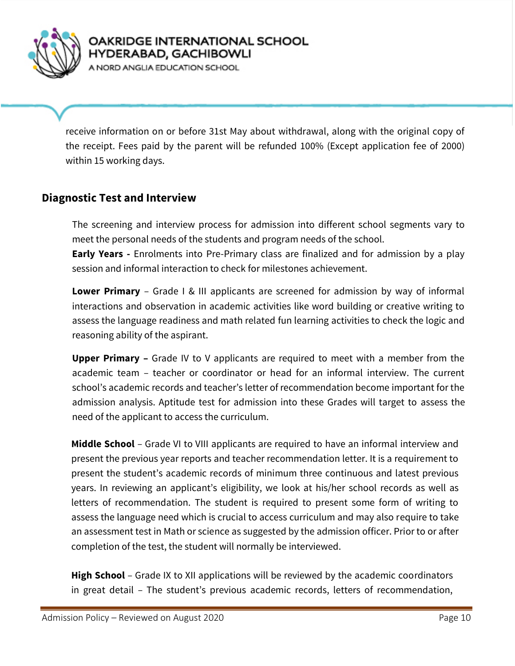

NORD ANGLIA EDUCATION SCHOOL

receive information on or before 31st May about withdrawal, along with the original copy of the receipt. Fees paid by the parent will be refunded 100% (Except application fee of 2000) within 15 working days.

# **Diagnostic Test and Interview**

The screening and interview process for admission into different school segments vary to meet the personal needs of the students and program needs of the school.

**Early Years -** Enrolments into Pre-Primary class are finalized and for admission by a play session and informal interaction to check for milestones achievement.

**Lower Primary** – Grade I & III applicants are screened for admission by way of informal interactions and observation in academic activities like word building or creative writing to assess the language readiness and math related fun learning activities to check the logic and reasoning ability of the aspirant.

**Upper Primary –** Grade IV to V applicants are required to meet with a member from the academic team – teacher or coordinator or head for an informal interview. The current school's academic records and teacher's letter of recommendation become important for the admission analysis. Aptitude test for admission into these Grades will target to assess the need of the applicant to access the curriculum.

**Middle School** – Grade VI to VIII applicants are required to have an informal interview and present the previous year reports and teacher recommendation letter. It is a requirement to present the student's academic records of minimum three continuous and latest previous years. In reviewing an applicant's eligibility, we look at his/her school records as well as letters of recommendation. The student is required to present some form of writing to assess the language need which is crucial to access curriculum and may also require to take an assessment test in Math or science as suggested by the admission officer. Prior to or after completion of the test, the student will normally be interviewed.

**High School** – Grade IX to XII applications will be reviewed by the academic coordinators in great detail – The student's previous academic records, letters of recommendation,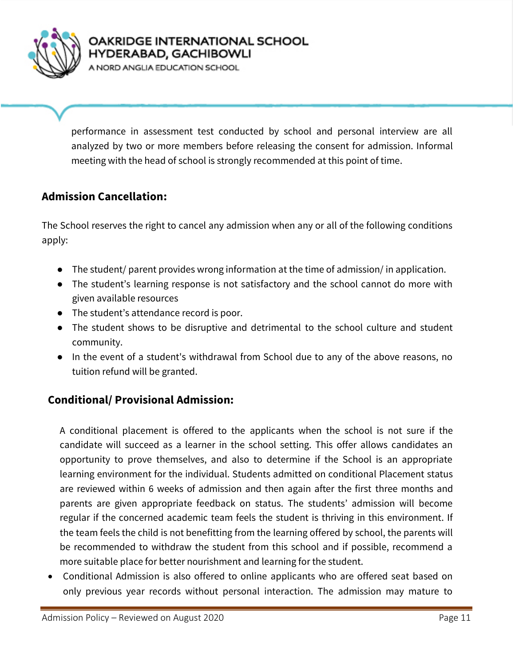

**NORD ANGLIA EDUCATION SCHOOL** 

performance in assessment test conducted by school and personal interview are all analyzed by two or more members before releasing the consent for admission. Informal meeting with the head of school is strongly recommended at this point of time.

# **Admission Cancellation:**

The School reserves the right to cancel any admission when any or all of the following conditions apply:

- The student/ parent provides wrong information at the time of admission/ in application.
- The student's learning response is not satisfactory and the school cannot do more with given available resources
- The student's attendance record is poor.
- The student shows to be disruptive and detrimental to the school culture and student community.
- In the event of a student's withdrawal from School due to any of the above reasons, no tuition refund will be granted.

# **Conditional/ Provisional Admission:**

A conditional placement is offered to the applicants when the school is not sure if the candidate will succeed as a learner in the school setting. This offer allows candidates an opportunity to prove themselves, and also to determine if the School is an appropriate learning environment for the individual. Students admitted on conditional Placement status are reviewed within 6 weeks of admission and then again after the first three months and parents are given appropriate feedback on status. The students' admission will become regular if the concerned academic team feels the student is thriving in this environment. If the team feels the child is not benefitting from the learning offered by school, the parents will be recommended to withdraw the student from this school and if possible, recommend a more suitable place for better nourishment and learning for the student.

 Conditional Admission is also offered to online applicants who are offered seat based on only previous year records without personal interaction. The admission may mature to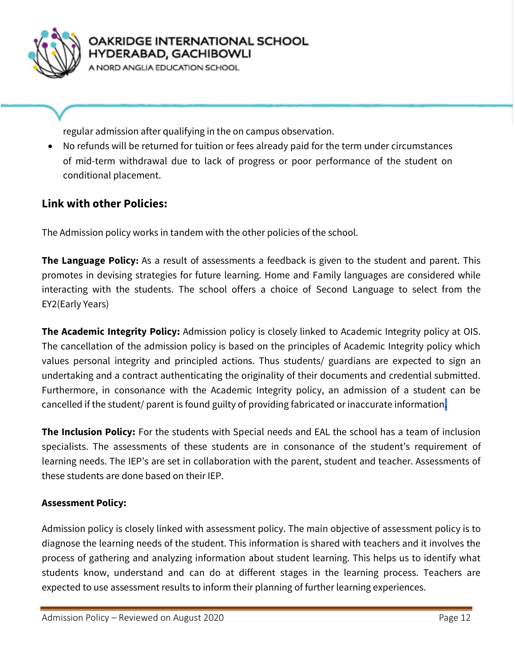

NORD ANGLIA EDUCATION SCHOOL

regular admission after qualifying in the on campus observation.

 No refunds will be returned for tuition or fees already paid for the term under circumstances of mid-term withdrawal due to lack of progress or poor performance of the student on conditional placement.

# **Link with other Policies:**

The Admission policy works in tandem with the other policies of the school.

**The Language Policy:** As a result of assessments a feedback is given to the student and parent. This promotes in devising strategies for future learning. Home and Family languages are considered while interacting with the students. The school offers a choice of Second Language to select from the EY2(Early Years)

**The Academic Integrity Policy:** Admission policy is closely linked to Academic Integrity policy at OIS. The cancellation of the admission policy is based on the principles of Academic Integrity policy which values personal integrity and principled actions. Thus students/ guardians are expected to sign an undertaking and a contract authenticating the originality of their documents and credential submitted. Furthermore, in consonance with the Academic Integrity policy, an admission of a student can be cancelled if the student/ parent is found guilty of providing fabricated or inaccurate information.

**The Inclusion Policy:** For the students with Special needs and EAL the school has a team of inclusion specialists. The assessments of these students are in consonance of the student's requirement of learning needs. The IEP's are set in collaboration with the parent, student and teacher. Assessments of these students are done based on their IEP.

#### **Assessment Policy:**

Admission policy is closely linked with assessment policy. The main objective of assessment policy is to diagnose the learning needs of the student. This information is shared with teachers and it involves the process of gathering and analyzing information about student learning. This helps us to identify what students know, understand and can do at different stages in the learning process. Teachers are expected to use assessment results to inform their planning of further learning experiences.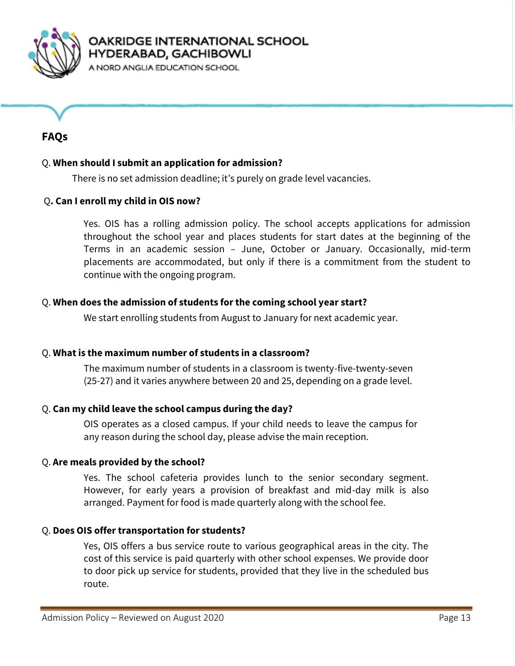

**NORD ANGLIA EDUCATION SCHOOL** 

# **FAQs**

#### Q. **When should I submit an application for admission?**

There is no set admission deadline; it's purely on grade level vacancies.

#### Q**. Can I enroll my child in OIS now?**

Yes. OIS has a rolling admission policy. The school accepts applications for admission throughout the school year and places students for start dates at the beginning of the Terms in an academic session – June, October or January. Occasionally, mid-term placements are accommodated, but only if there is a commitment from the student to continue with the ongoing program.

#### Q. **When does the admission of students for the coming school year start?**

We start enrolling students from August to January for next academic year.

#### Q. **What is the maximum number of students in a classroom?**

The maximum number of students in a classroom is twenty-five-twenty-seven (25-27) and it varies anywhere between 20 and 25, depending on a grade level.

#### Q. **Can my child leave the school campus during the day?**

OIS operates as a closed campus. If your child needs to leave the campus for any reason during the school day, please advise the main reception.

#### Q. **Are meals provided by the school?**

Yes. The school cafeteria provides lunch to the senior secondary segment. However, for early years a provision of breakfast and mid-day milk is also arranged. Payment for food is made quarterly along with the school fee.

#### Q. **Does OIS offer transportation for students?**

Yes, OIS offers a bus service route to various geographical areas in the city. The cost of this service is paid quarterly with other school expenses. We provide door to door pick up service for students, provided that they live in the scheduled bus route.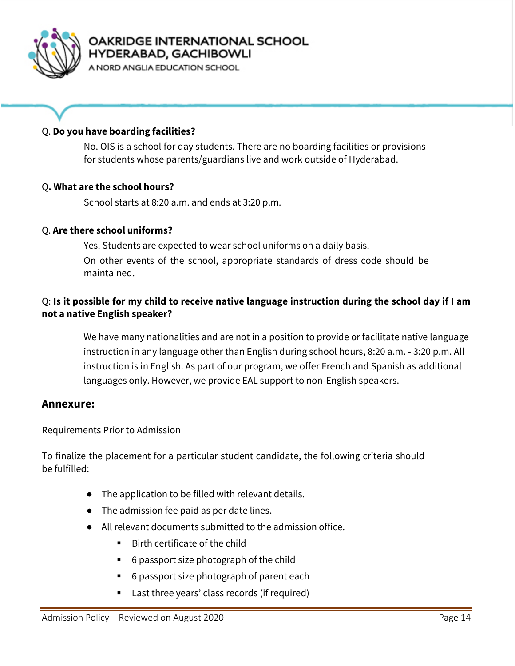

**NORD ANGLIA EDUCATION SCHOOL** 

#### Q. **Do you have boarding facilities?**

No. OIS is a school for day students. There are no boarding facilities or provisions for students whose parents/guardians live and work outside of Hyderabad.

#### Q**. What are the school hours?**

School starts at 8:20 a.m. and ends at 3:20 p.m.

#### Q. **Are there school uniforms?**

Yes. Students are expected to wear school uniforms on a daily basis.

On other events of the school, appropriate standards of dress code should be maintained.

# Q: **Is it possible for my child to receive native language instruction during the school day if I am not a native English speaker?**

We have many nationalities and are not in a position to provide or facilitate native language instruction in any language other than English during school hours, 8:20 a.m. - 3:20 p.m. All instruction is in English. As part of our program, we offer French and Spanish as additional languages only. However, we provide EAL support to non-English speakers.

#### **Annexure:**

Requirements Prior to Admission

To finalize the placement for a particular student candidate, the following criteria should be fulfilled:

- The application to be filled with relevant details.
- The admission fee paid as per date lines.
- All relevant documents submitted to the admission office.
	- Birth certificate of the child
	- 6 passport size photograph of the child
	- 6 passport size photograph of parent each
	- Last three years' class records (if required)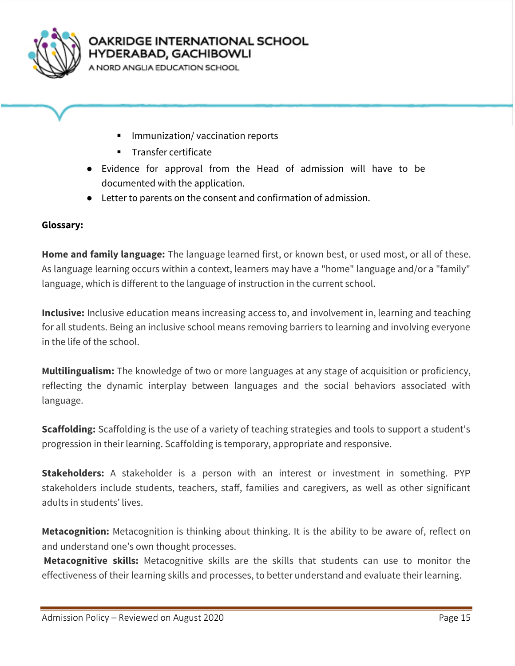

NORD ANGLIA EDUCATION SCHOOL

- Immunization/ vaccination reports
- Transfer certificate
- Evidence for approval from the Head of admission will have to be documented with the application.
- Letter to parents on the consent and confirmation of admission.

#### **Glossary:**

**Home and family language:** The language learned first, or known best, or used most, or all of these. As language learning occurs within a context, learners may have a "home" language and/or a "family" language, which is different to the language of instruction in the current school.

**Inclusive:** Inclusive education means increasing access to, and involvement in, learning and teaching for all students. Being an inclusive school means removing barriers to learning and involving everyone in the life of the school.

**Multilingualism:** The knowledge of two or more languages at any stage of acquisition or proficiency, reflecting the dynamic interplay between languages and the social behaviors associated with language.

**Scaffolding:** Scaffolding is the use of a variety of teaching strategies and tools to support a student's progression in their learning. Scaffolding is temporary, appropriate and responsive.

**Stakeholders:** A stakeholder is a person with an interest or investment in something. PYP stakeholders include students, teachers, staff, families and caregivers, as well as other significant adults in students' lives.

**Metacognition:** Metacognition is thinking about thinking. It is the ability to be aware of, reflect on and understand one's own thought processes.

**Metacognitive skills:** Metacognitive skills are the skills that students can use to monitor the effectiveness of their learning skills and processes, to better understand and evaluate their learning.